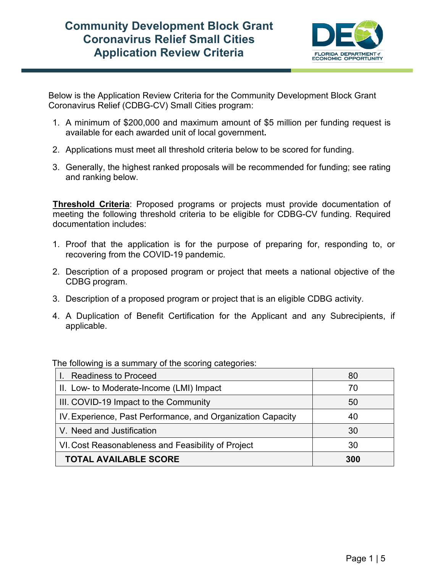## **Community Development Block Grant Coronavirus Relief Small Cities Application Review Criteria**



Below is the Application Review Criteria for the Community Development Block Grant Coronavirus Relief (CDBG-CV) Small Cities program:

- 1. A minimum of \$200,000 and maximum amount of \$5 million per funding request is available for each awarded unit of local government**.**
- 2. Applications must meet all threshold criteria below to be scored for funding.
- 3. Generally, the highest ranked proposals will be recommended for funding; see rating and ranking below.

**Threshold Criteria**: Proposed programs or projects must provide documentation of meeting the following threshold criteria to be eligible for CDBG-CV funding. Required documentation includes:

- 1. Proof that the application is for the purpose of preparing for, responding to, or recovering from the COVID-19 pandemic.
- 2. Description of a proposed program or project that meets a national objective of the CDBG program.
- 3. Description of a proposed program or project that is an eligible CDBG activity.
- 4. A Duplication of Benefit Certification for the Applicant and any Subrecipients, if applicable.

The following is a summary of the scoring categories:

| I. Readiness to Proceed                                     | 80  |
|-------------------------------------------------------------|-----|
| II. Low- to Moderate-Income (LMI) Impact                    | 70  |
| III. COVID-19 Impact to the Community                       | 50  |
| IV. Experience, Past Performance, and Organization Capacity | 40  |
| V. Need and Justification                                   | 30  |
| VI. Cost Reasonableness and Feasibility of Project          | 30  |
| <b>TOTAL AVAILABLE SCORE</b>                                | 300 |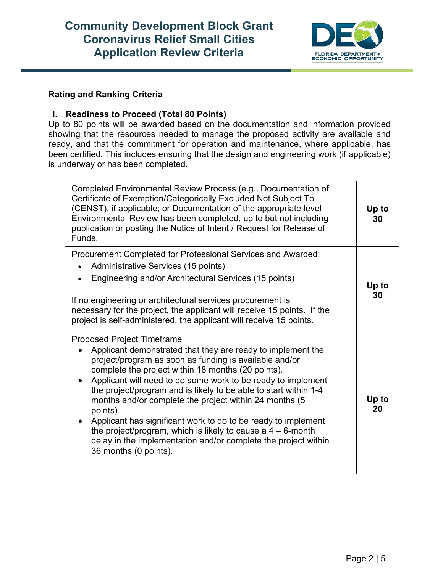# **Community Development Block Grant Coronavirus Relief Small Cities Application Review Criteria**



### **Rating and Ranking Criteria**

#### **I. Readiness to Proceed (Total 80 Points)**

Up to 80 points will be awarded based on the documentation and information provided showing that the resources needed to manage the proposed activity are available and ready, and that the commitment for operation and maintenance, where applicable, has been certified. This includes ensuring that the design and engineering work (if applicable) is underway or has been completed.

| Completed Environmental Review Process (e.g., Documentation of<br>Certificate of Exemption/Categorically Excluded Not Subject To<br>(CENST), if applicable; or Documentation of the appropriate level<br>Environmental Review has been completed, up to but not including<br>publication or posting the Notice of Intent / Request for Release of<br>Funds.                                                                                                                                                                                                                                                                                                                        | Up to<br>30 |
|------------------------------------------------------------------------------------------------------------------------------------------------------------------------------------------------------------------------------------------------------------------------------------------------------------------------------------------------------------------------------------------------------------------------------------------------------------------------------------------------------------------------------------------------------------------------------------------------------------------------------------------------------------------------------------|-------------|
| Procurement Completed for Professional Services and Awarded:<br>Administrative Services (15 points)<br>Engineering and/or Architectural Services (15 points)<br>If no engineering or architectural services procurement is<br>necessary for the project, the applicant will receive 15 points. If the<br>project is self-administered, the applicant will receive 15 points.                                                                                                                                                                                                                                                                                                       | Up to<br>30 |
| <b>Proposed Project Timeframe</b><br>Applicant demonstrated that they are ready to implement the<br>$\bullet$<br>project/program as soon as funding is available and/or<br>complete the project within 18 months (20 points).<br>Applicant will need to do some work to be ready to implement<br>$\bullet$<br>the project/program and is likely to be able to start within 1-4<br>months and/or complete the project within 24 months (5<br>points).<br>Applicant has significant work to do to be ready to implement<br>the project/program, which is likely to cause a $4 - 6$ -month<br>delay in the implementation and/or complete the project within<br>36 months (0 points). | Up to<br>20 |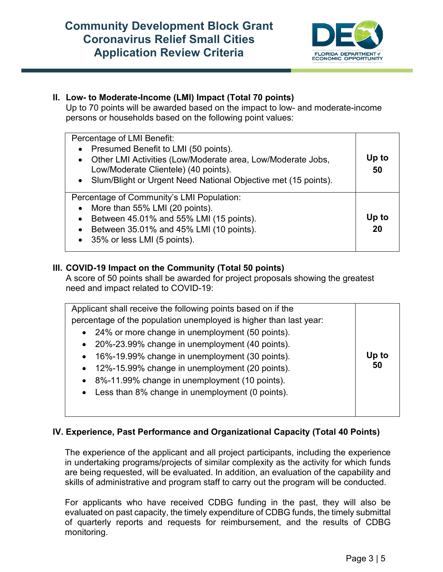# **Community Development Block Grant Coronavirus Relief Small Cities Application Review Criteria**



## **II. Low- to Moderate-Income (LMI) Impact (Total 70 points)**

Up to 70 points will be awarded based on the impact to low- and moderate-income persons or households based on the following point values:

| Percentage of LMI Benefit:<br>Presumed Benefit to LMI (50 points).<br>$\bullet$<br>• Other LMI Activities (Low/Moderate area, Low/Moderate Jobs,<br>Low/Moderate Clientele) (40 points).<br>• Slum/Blight or Urgent Need National Objective met (15 points). | Up to<br>50 |
|--------------------------------------------------------------------------------------------------------------------------------------------------------------------------------------------------------------------------------------------------------------|-------------|
| Percentage of Community's LMI Population:<br>• More than 55% LMI (20 points).<br>Between 45.01% and 55% LMI (15 points).<br>$\bullet$<br>Between 35.01% and 45% LMI (10 points).<br>$\bullet$<br>• 35% or less LMI (5 points).                               | Up to<br>20 |

## **III. COVID-19 Impact on the Community (Total 50 points)**

A score of 50 points shall be awarded for project proposals showing the greatest need and impact related to COVID-19:

| Applicant shall receive the following points based on if the      |       |
|-------------------------------------------------------------------|-------|
| percentage of the population unemployed is higher than last year: |       |
| 24% or more change in unemployment (50 points).<br>$\bullet$      |       |
| 20%-23.99% change in unemployment (40 points).<br>$\bullet$       |       |
| 16%-19.99% change in unemployment (30 points).<br>$\bullet$       | Up to |
| 12%-15.99% change in unemployment (20 points).<br>$\bullet$       | 50    |
| 8%-11.99% change in unemployment (10 points).<br>$\bullet$        |       |
| Less than 8% change in unemployment (0 points).<br>$\bullet$      |       |
|                                                                   |       |
|                                                                   |       |

### **IV. Experience, Past Performance and Organizational Capacity (Total 40 Points)**

The experience of the applicant and all project participants, including the experience in undertaking programs/projects of similar complexity as the activity for which funds are being requested, will be evaluated. In addition, an evaluation of the capability and skills of administrative and program staff to carry out the program will be conducted.

For applicants who have received CDBG funding in the past, they will also be evaluated on past capacity, the timely expenditure of CDBG funds, the timely submittal of quarterly reports and requests for reimbursement, and the results of CDBG monitoring.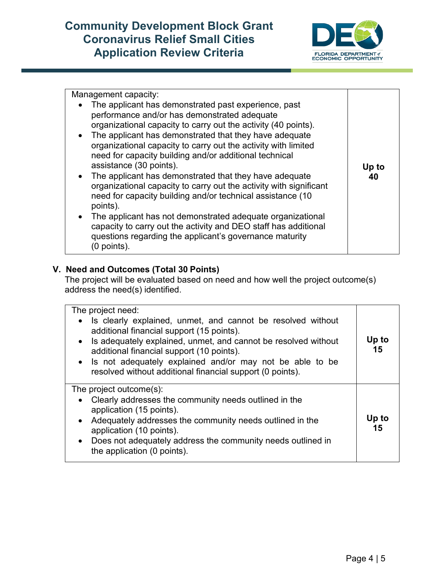

| Management capacity:                                                                                                                                                                                                                                                                                                                                                                                                                                                                                                                                                                                                                                                                                                                                                                                                                       |             |
|--------------------------------------------------------------------------------------------------------------------------------------------------------------------------------------------------------------------------------------------------------------------------------------------------------------------------------------------------------------------------------------------------------------------------------------------------------------------------------------------------------------------------------------------------------------------------------------------------------------------------------------------------------------------------------------------------------------------------------------------------------------------------------------------------------------------------------------------|-------------|
| The applicant has demonstrated past experience, past<br>$\bullet$<br>performance and/or has demonstrated adequate<br>organizational capacity to carry out the activity (40 points).<br>• The applicant has demonstrated that they have adequate<br>organizational capacity to carry out the activity with limited<br>need for capacity building and/or additional technical<br>assistance (30 points).<br>• The applicant has demonstrated that they have adequate<br>organizational capacity to carry out the activity with significant<br>need for capacity building and/or technical assistance (10<br>points).<br>The applicant has not demonstrated adequate organizational<br>$\bullet$<br>capacity to carry out the activity and DEO staff has additional<br>questions regarding the applicant's governance maturity<br>(0 points). | Up to<br>40 |

### **V. Need and Outcomes (Total 30 Points)**

The project will be evaluated based on need and how well the project outcome(s) address the need(s) identified.

| The project need:                                                                                                                                                                                                                                                                                                                                                            |             |
|------------------------------------------------------------------------------------------------------------------------------------------------------------------------------------------------------------------------------------------------------------------------------------------------------------------------------------------------------------------------------|-------------|
| Is clearly explained, unmet, and cannot be resolved without<br>$\bullet$<br>additional financial support (15 points).<br>Is adequately explained, unmet, and cannot be resolved without<br>$\bullet$<br>additional financial support (10 points).<br>• Is not adequately explained and/or may not be able to be<br>resolved without additional financial support (0 points). | Up to<br>15 |
| The project outcome $(s)$ :                                                                                                                                                                                                                                                                                                                                                  |             |
| Clearly addresses the community needs outlined in the<br>$\bullet$                                                                                                                                                                                                                                                                                                           |             |
| application (15 points).                                                                                                                                                                                                                                                                                                                                                     | Up to       |
| Adequately addresses the community needs outlined in the<br>$\bullet$<br>application (10 points).                                                                                                                                                                                                                                                                            | 15          |
| • Does not adequately address the community needs outlined in                                                                                                                                                                                                                                                                                                                |             |
| the application (0 points).                                                                                                                                                                                                                                                                                                                                                  |             |
|                                                                                                                                                                                                                                                                                                                                                                              |             |